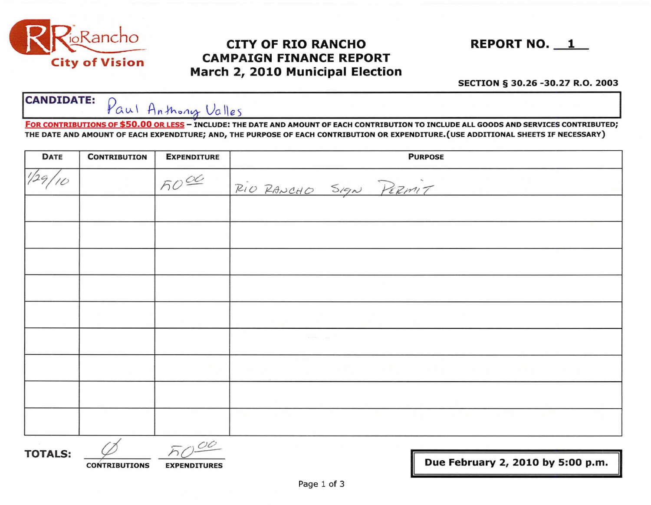

# CITY OF RIO RANCHO REPORT NO. 1 CAMPAIGN FINANCE REPORT March 2, 2010 Municipal Election



#### SECTION § 30.26 -30.27 R.O. 2003

### **CANDIDATE:** Paul Anthony Valles

FOR CONTRIBUTIONS OF \$50.00 OR LESS - INCLUDE: THE DATE AND AMOUNT OF EACH CONTRIBUTION TO INCLUDE ALL GOODS AND SERVICES CONTRIBUTED; THE DATE AND AMOUNT OF EACH EXPENDITURE; AND, THE PURPOSE OF EACH CONTRIBUTION OR EXPENDITURE.(USE ADDITIONAL SHEETS IF NECESSARY)

| <b>DATE</b> | <b>CONTRIBUTION</b> | <b>EXPENDITURE</b> | <b>PURPOSE</b>                 |  |  |
|-------------|---------------------|--------------------|--------------------------------|--|--|
|             |                     | 5000               | RIO RANCHO SIGN PERMIT         |  |  |
|             |                     |                    |                                |  |  |
|             |                     |                    |                                |  |  |
|             |                     |                    |                                |  |  |
|             |                     |                    |                                |  |  |
|             |                     |                    |                                |  |  |
|             |                     |                    | and the company of the company |  |  |
|             |                     |                    | <b>CALCULARY COMPANY</b>       |  |  |
|             |                     |                    |                                |  |  |
|             |                     |                    |                                |  |  |

~ooo TOTALS: ¢ II CONTRIBUTIONS EXPENDITURES II Due February 2, 2010 by 5:00 p.m.

II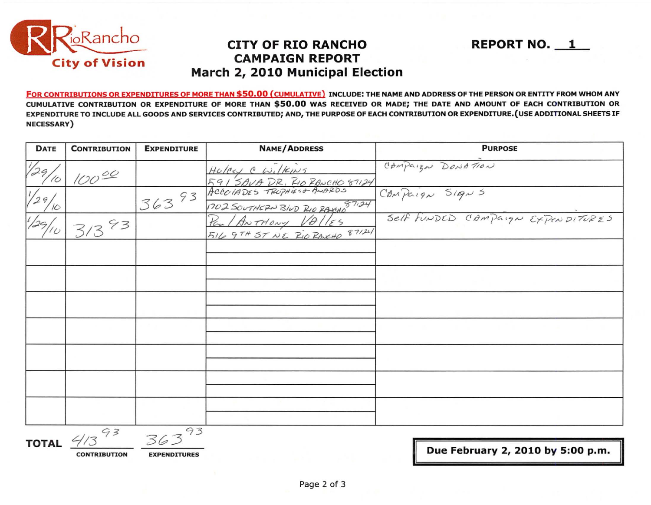

## **CITY OF RIO RANCHO CAMPAIGN REPORT** March 2, 2010 Municipal Election

FOR CONTRIBUTIONS OR EXPENDITURES OF MORE THAN \$50.00 (CUMULATIVE) INCLUDE: THE NAME AND ADDRESS OF THE PERSON OR ENTITY FROM WHOM ANY CUMULATIVE CONTRIBUTION OR EXPENDITURE OF MORE THAN \$50.00 WAS RECEIVED OR MADE; THE DATE AND AMOUNT OF EACH CONTRIBUTION OR EXPENDITURE TO INCLUDE ALL GOODS AND SERVICES CONTRIBUTED; AND, THE PURPOSE OF EACH CONTRIBUTION OR EXPENDITURE. (USE ADDITIONAL SHEETS IF NECESSARY)

| DATE       | <b>CONTRIBUTION</b> | <b>EXPENDITURE</b> | <b>NAME/ADDRESS</b>                                   | <b>PURPOSE</b>                    |  |  |  |
|------------|---------------------|--------------------|-------------------------------------------------------|-----------------------------------|--|--|--|
| 1/29<br>10 | 10000               |                    | Holey C Wilkins<br>591 SAVA DR. RIO RANCHO 87124      | CAMPaign DONATION                 |  |  |  |
|            |                     | 36393              | 1702 SOUTHERN BLUD RIO RAVEH 87124                    | CAMPaign Signs                    |  |  |  |
|            | 93                  |                    | Paul ANTHONY VOLLES<br>516 9TH ST NE RIO RANCHO 87124 | Self FUNDED CAMPAIGN EXPENDITURES |  |  |  |
|            |                     |                    |                                                       |                                   |  |  |  |
|            |                     |                    |                                                       |                                   |  |  |  |
|            |                     |                    |                                                       |                                   |  |  |  |
|            |                     |                    |                                                       |                                   |  |  |  |
|            |                     |                    |                                                       |                                   |  |  |  |
|            |                     |                    |                                                       |                                   |  |  |  |
|            |                     |                    |                                                       |                                   |  |  |  |
|            |                     |                    |                                                       |                                   |  |  |  |

TOTAL  $4/3$ 

363 **CONTRIBUTION** 

**EXPENDITURES** 

Due February 2, 2010 by 5:00 p.m.

**REPORT NO. 1**